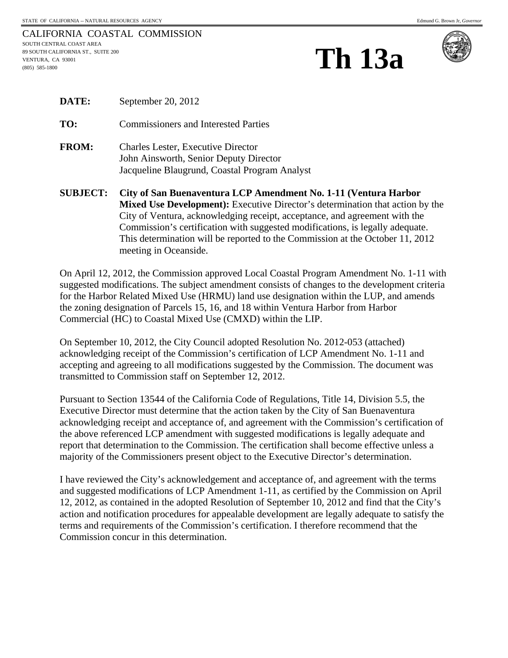| <b>Th 13a</b> |
|---------------|
|               |



| CIID IE <i>C</i> T. | City of Can Duonaventume I CD Amendment No. 1 11 (Ven |
|---------------------|-------------------------------------------------------|
|                     | Jacqueline Blaugrund, Coastal Program Analyst         |
|                     | John Ainsworth, Senior Deputy Director                |
| <b>FROM:</b>        | <b>Charles Lester, Executive Director</b>             |
| TO:                 | <b>Commissioners and Interested Parties</b>           |
| <b>DATE:</b>        | September 20, 2012                                    |

**SUBJECT: City of San Buenaventura LCP Amendment No. 1-11 (Ventura Harbor Mixed Use Development):** Executive Director's determination that action by the City of Ventura, acknowledging receipt, acceptance, and agreement with the Commission's certification with suggested modifications, is legally adequate. This determination will be reported to the Commission at the October 11, 2012 meeting in Oceanside.

On April 12, 2012, the Commission approved Local Coastal Program Amendment No. 1-11 with suggested modifications. The subject amendment consists of changes to the development criteria for the Harbor Related Mixed Use (HRMU) land use designation within the LUP, and amends the zoning designation of Parcels 15, 16, and 18 within Ventura Harbor from Harbor Commercial (HC) to Coastal Mixed Use (CMXD) within the LIP.

On September 10, 2012, the City Council adopted Resolution No. 2012-053 (attached) acknowledging receipt of the Commission's certification of LCP Amendment No. 1-11 and accepting and agreeing to all modifications suggested by the Commission. The document was transmitted to Commission staff on September 12, 2012.

Pursuant to Section 13544 of the California Code of Regulations, Title 14, Division 5.5, the Executive Director must determine that the action taken by the City of San Buenaventura acknowledging receipt and acceptance of, and agreement with the Commission's certification of the above referenced LCP amendment with suggested modifications is legally adequate and report that determination to the Commission. The certification shall become effective unless a majority of the Commissioners present object to the Executive Director's determination.

I have reviewed the City's acknowledgement and acceptance of, and agreement with the terms and suggested modifications of LCP Amendment 1-11, as certified by the Commission on April 12, 2012, as contained in the adopted Resolution of September 10, 2012 and find that the City's action and notification procedures for appealable development are legally adequate to satisfy the terms and requirements of the Commission's certification. I therefore recommend that the Commission concur in this determination.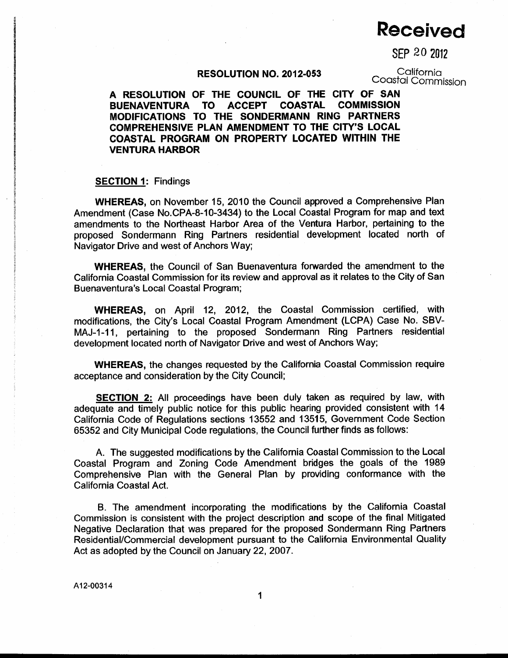# **Received**

SEP 20 2012

### RESOLUTION NO. 2012-053

California Coastal Commission

A RESOLUTION OF THE COUNCIL OF THE CITY OF SAN **COMMISSION** TO ACCEPT **COASTAL BUENAVENTURA** MODIFICATIONS TO THE SONDERMANN RING PARTNERS COMPREHENSIVE PLAN AMENDMENT TO THE CITY'S LOCAL COASTAL PROGRAM ON PROPERTY LOCATED WITHIN THE **VENTURA HARBOR** 

#### **SECTION 1: Findings**

**WHEREAS, on November 15, 2010 the Council approved a Comprehensive Plan** Amendment (Case No.CPA-8-10-3434) to the Local Coastal Program for map and text amendments to the Northeast Harbor Area of the Ventura Harbor, pertaining to the proposed Sondermann Ring Partners residential development located north of Navigator Drive and west of Anchors Way;

**WHEREAS.** the Council of San Buenaventura forwarded the amendment to the California Coastal Commission for its review and approval as it relates to the City of San Buenaventura's Local Coastal Program;

WHEREAS, on April 12, 2012, the Coastal Commission certified, with modifications, the City's Local Coastal Program Amendment (LCPA) Case No. SBV-MAJ-1-11, pertaining to the proposed Sondermann Ring Partners residential development located north of Navigator Drive and west of Anchors Way;

WHEREAS, the changes requested by the California Coastal Commission require acceptance and consideration by the City Council;

SECTION 2: All proceedings have been duly taken as required by law, with adequate and timely public notice for this public hearing provided consistent with 14 California Code of Regulations sections 13552 and 13515, Government Code Section 65352 and City Municipal Code regulations, the Council further finds as follows:

A. The suggested modifications by the California Coastal Commission to the Local Coastal Program and Zoning Code Amendment bridges the goals of the 1989 Comprehensive Plan with the General Plan by providing conformance with the California Coastal Act.

B. The amendment incorporating the modifications by the California Coastal Commission is consistent with the project description and scope of the final Mitigated Negative Declaration that was prepared for the proposed Sondermann Ring Partners Residential/Commercial development pursuant to the California Environmental Quality Act as adopted by the Council on January 22, 2007.

1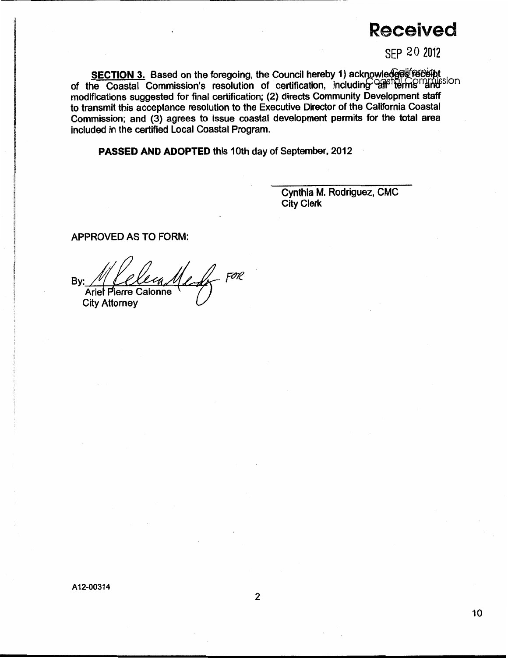## **Received**

SFP 20 2012

SECTION 3. Based on the foregoing, the Council hereby 1) acknowledges recent of the Coastal Commission's resolution of certification, including ansitements in the modifications suggested for final certification; (2) directs Community Development staff to transmit this acceptance resolution to the Executive Director of the California Coastal Commission; and (3) agrees to issue coastal development permits for the total area included in the certified Local Coastal Program.

PASSED AND ADOPTED this 10th day of September, 2012

Cynthia M. Rodriguez, CMC **City Clerk** 

**APPROVED AS TO FORM:** 

- FOR Bv:

**City Attorney** 

A12-00314